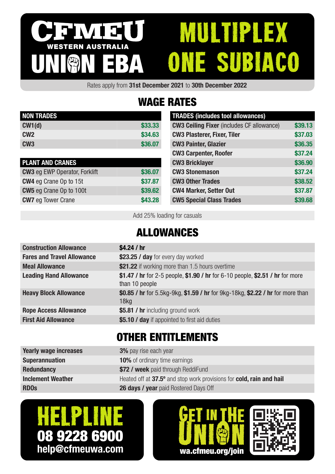#### MULTIPLEX IVIELI WESTERN AUSTRALIA one subiaco UNION EBA

Rates apply from 31st December 2021 to 30th December 2022

# WAGE RATES

| <b>NON TRADES</b> |         |
|-------------------|---------|
| CW1(d)            | \$33,33 |
| CM2               | \$34.63 |
| CW <sub>3</sub>   | \$36,07 |

| <b>PLANT AND CRANES</b>              |         |
|--------------------------------------|---------|
| <b>CW3</b> eg EWP Operator, Forklift | \$36.07 |
| <b>CW4</b> eg Crane Op to 15t        | \$37.87 |
| <b>CW5</b> eg Crane Op to 100t       | \$39.62 |
| <b>CW7</b> eg Tower Crane            | \$43.28 |

| <b>TRADES (includes tool allowances)</b>         |         |
|--------------------------------------------------|---------|
| <b>CW3 Ceiling Fixer</b> (includes CF allowance) | \$39.13 |
| <b>CW3 Plasterer, Fixer, Tiler</b>               | \$37.03 |
| <b>CW3 Painter, Glazier</b>                      | \$36.35 |
| <b>CW3 Carpenter, Roofer</b>                     | \$37.24 |
| <b>CW3 Bricklayer</b>                            | \$36.90 |
| <b>CW3 Stonemason</b>                            | \$37.24 |
| <b>CW3 Other Trades</b>                          | \$38.52 |
| <b>CW4 Marker, Setter Out</b>                    | \$37.87 |
| <b>CW5 Special Class Trades</b>                  | \$39.68 |

Add 25% loading for casuals

## ALLOWANCES

| <b>Construction Allowance</b>     | \$4.24 / $hr$                                                                                      |
|-----------------------------------|----------------------------------------------------------------------------------------------------|
| <b>Fares and Travel Allowance</b> | \$23.25 / day for every day worked                                                                 |
| <b>Meal Allowance</b>             | \$21.22 if working more than 1.5 hours overtime                                                    |
| <b>Leading Hand Allowance</b>     | \$1.47 / hr for 2-5 people, \$1.90 / hr for 6-10 people, \$2.51 / hr for more<br>than 10 people    |
| <b>Heavy Block Allowance</b>      | \$0.85 / hr for 5.5kg-9kg, \$1.59 / hr for 9kg-18kg, \$2.22 / hr for more than<br>18 <sub>kq</sub> |
| <b>Rope Access Allowance</b>      | \$5.81 / hr including ground work                                                                  |
| <b>First Aid Allowance</b>        | \$5.10 / day if appointed to first aid duties                                                      |
|                                   |                                                                                                    |

## OTHER ENTITLEMENTS

| <b>Yearly wage increases</b> | <b>3%</b> pay rise each year                                         |
|------------------------------|----------------------------------------------------------------------|
| <b>Superannuation</b>        | <b>10%</b> of ordinary time earnings                                 |
| <b>Redundancy</b>            | \$72 / week paid through ReddiFund                                   |
| <b>Inclement Weather</b>     | Heated off at 37.5° and stop work provisions for cold, rain and hail |
| <b>RDOs</b>                  | 26 days / year paid Rostered Days Off                                |